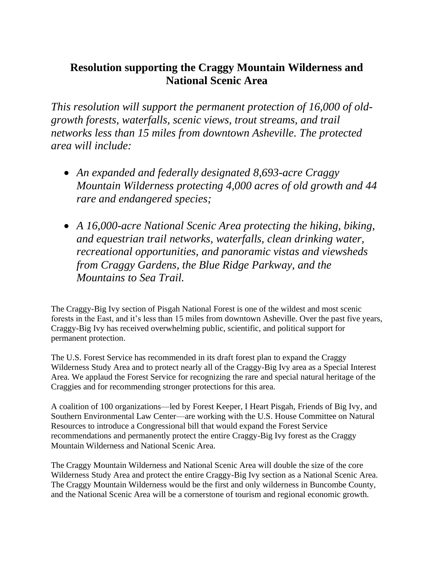## **Resolution supporting the Craggy Mountain Wilderness and National Scenic Area**

*This resolution will support the permanent protection of 16,000 of oldgrowth forests, waterfalls, scenic views, trout streams, and trail networks less than 15 miles from downtown Asheville. The protected area will include:*

- *An expanded and federally designated 8,693-acre Craggy Mountain Wilderness protecting 4,000 acres of old growth and 44 rare and endangered species;*
- *A 16,000-acre National Scenic Area protecting the hiking, biking, and equestrian trail networks, waterfalls, clean drinking water, recreational opportunities, and panoramic vistas and viewsheds from Craggy Gardens, the Blue Ridge Parkway, and the Mountains to Sea Trail.*

The Craggy-Big Ivy section of Pisgah National Forest is one of the wildest and most scenic forests in the East, and it's less than 15 miles from downtown Asheville. Over the past five years, Craggy-Big Ivy has received overwhelming public, scientific, and political support for permanent protection.

The U.S. Forest Service has recommended in its draft forest plan to expand the Craggy Wilderness Study Area and to protect nearly all of the Craggy-Big Ivy area as a Special Interest Area. We applaud the Forest Service for recognizing the rare and special natural heritage of the Craggies and for recommending stronger protections for this area.

A coalition of 100 organizations—led by Forest Keeper, I Heart Pisgah, Friends of Big Ivy, and Southern Environmental Law Center—are working with the U.S. House Committee on Natural Resources to introduce a Congressional bill that would expand the Forest Service recommendations and permanently protect the entire Craggy-Big Ivy forest as the Craggy Mountain Wilderness and National Scenic Area.

The Craggy Mountain Wilderness and National Scenic Area will double the size of the core Wilderness Study Area and protect the entire Craggy-Big Ivy section as a National Scenic Area. The Craggy Mountain Wilderness would be the first and only wilderness in Buncombe County, and the National Scenic Area will be a cornerstone of tourism and regional economic growth.